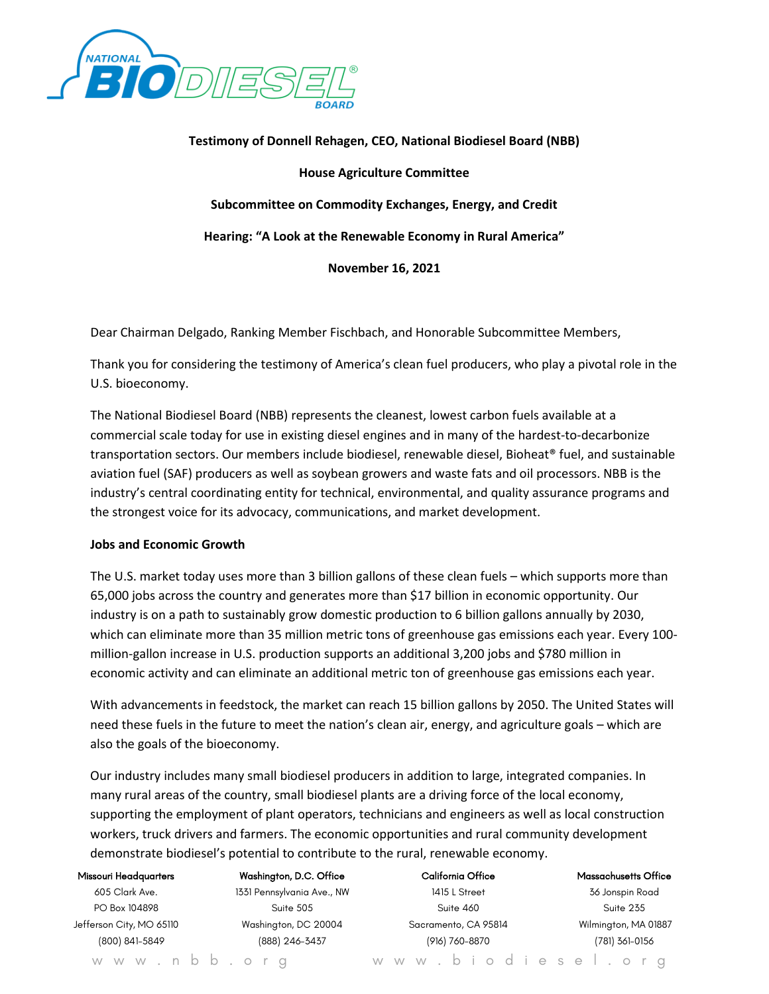

# **Testimony of Donnell Rehagen, CEO, National Biodiesel Board (NBB)**

**House Agriculture Committee** 

**Subcommittee on Commodity Exchanges, Energy, and Credit**

**Hearing: "A Look at the Renewable Economy in Rural America"**

**November 16, 2021**

Dear Chairman Delgado, Ranking Member Fischbach, and Honorable Subcommittee Members,

Thank you for considering the testimony of America's clean fuel producers, who play a pivotal role in the U.S. bioeconomy.

The National Biodiesel Board (NBB) represents the cleanest, lowest carbon fuels available at a commercial scale today for use in existing diesel engines and in many of the hardest-to-decarbonize transportation sectors. Our members include biodiesel, renewable diesel, Bioheat® fuel, and sustainable aviation fuel (SAF) producers as well as soybean growers and waste fats and oil processors. NBB is the industry's central coordinating entity for technical, environmental, and quality assurance programs and the strongest voice for its advocacy, communications, and market development.

### **Jobs and Economic Growth**

The U.S. market today uses more than 3 billion gallons of these clean fuels – which supports more than 65,000 jobs across the country and generates more than \$17 billion in economic opportunity. Our industry is on a path to sustainably grow domestic production to 6 billion gallons annually by 2030, which can eliminate more than 35 million metric tons of greenhouse gas emissions each year. Every 100 million-gallon increase in U.S. production supports an additional 3,200 jobs and \$780 million in economic activity and can eliminate an additional metric ton of greenhouse gas emissions each year.

With advancements in feedstock, the market can reach 15 billion gallons by 2050. The United States will need these fuels in the future to meet the nation's clean air, energy, and agriculture goals – which are also the goals of the bioeconomy.

Our industry includes many small biodiesel producers in addition to large, integrated companies. In many rural areas of the country, small biodiesel plants are a driving force of the local economy, supporting the employment of plant operators, technicians and engineers as well as local construction workers, truck drivers and farmers. The economic opportunities and rural community development demonstrate biodiesel's potential to contribute to the rural, renewable economy.

Missouri Headquarters 605 Clark Ave. PO Box 104898 Jefferson City, MO 65110 (800) 841-5849

Washington, D.C. Office 1331 Pennsylvania Ave., NW Suite 505 Washington, DC 20004 (888) 246-3437

California Office 1415 L Street Suite 460 Sacramento, CA 95814 (916) 760-8870

Massachusetts Office 36 Jonspin Road

Suite 235 Wilmington, MA 01887 (781) 361-0156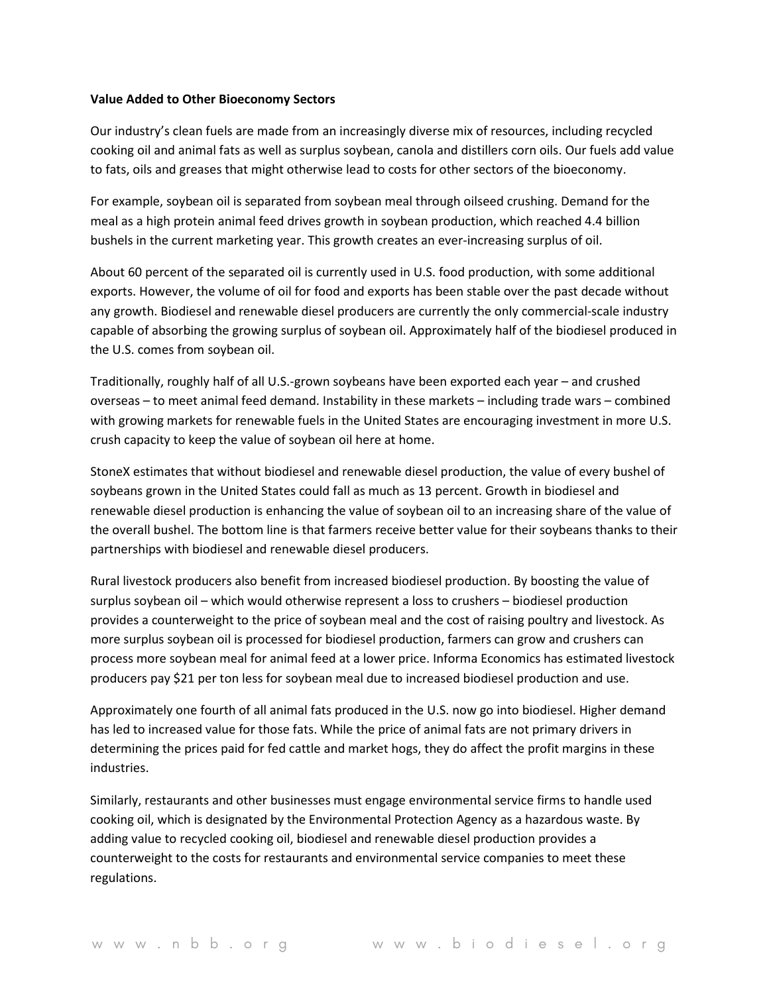### **Value Added to Other Bioeconomy Sectors**

Our industry's clean fuels are made from an increasingly diverse mix of resources, including recycled cooking oil and animal fats as well as surplus soybean, canola and distillers corn oils. Our fuels add value to fats, oils and greases that might otherwise lead to costs for other sectors of the bioeconomy.

For example, soybean oil is separated from soybean meal through oilseed crushing. Demand for the meal as a high protein animal feed drives growth in soybean production, which reached 4.4 billion bushels in the current marketing year. This growth creates an ever-increasing surplus of oil.

About 60 percent of the separated oil is currently used in U.S. food production, with some additional exports. However, the volume of oil for food and exports has been stable over the past decade without any growth. Biodiesel and renewable diesel producers are currently the only commercial-scale industry capable of absorbing the growing surplus of soybean oil. Approximately half of the biodiesel produced in the U.S. comes from soybean oil.

Traditionally, roughly half of all U.S.-grown soybeans have been exported each year – and crushed overseas – to meet animal feed demand. Instability in these markets – including trade wars – combined with growing markets for renewable fuels in the United States are encouraging investment in more U.S. crush capacity to keep the value of soybean oil here at home.

StoneX estimates that without biodiesel and renewable diesel production, the value of every bushel of soybeans grown in the United States could fall as much as 13 percent. Growth in biodiesel and renewable diesel production is enhancing the value of soybean oil to an increasing share of the value of the overall bushel. The bottom line is that farmers receive better value for their soybeans thanks to their partnerships with biodiesel and renewable diesel producers.

Rural livestock producers also benefit from increased biodiesel production. By boosting the value of surplus soybean oil – which would otherwise represent a loss to crushers – biodiesel production provides a counterweight to the price of soybean meal and the cost of raising poultry and livestock. As more surplus soybean oil is processed for biodiesel production, farmers can grow and crushers can process more soybean meal for animal feed at a lower price. Informa Economics has estimated livestock producers pay \$21 per ton less for soybean meal due to increased biodiesel production and use.

Approximately one fourth of all animal fats produced in the U.S. now go into biodiesel. Higher demand has led to increased value for those fats. While the price of animal fats are not primary drivers in determining the prices paid for fed cattle and market hogs, they do affect the profit margins in these industries.

Similarly, restaurants and other businesses must engage environmental service firms to handle used cooking oil, which is designated by the Environmental Protection Agency as a hazardous waste. By adding value to recycled cooking oil, biodiesel and renewable diesel production provides a counterweight to the costs for restaurants and environmental service companies to meet these regulations.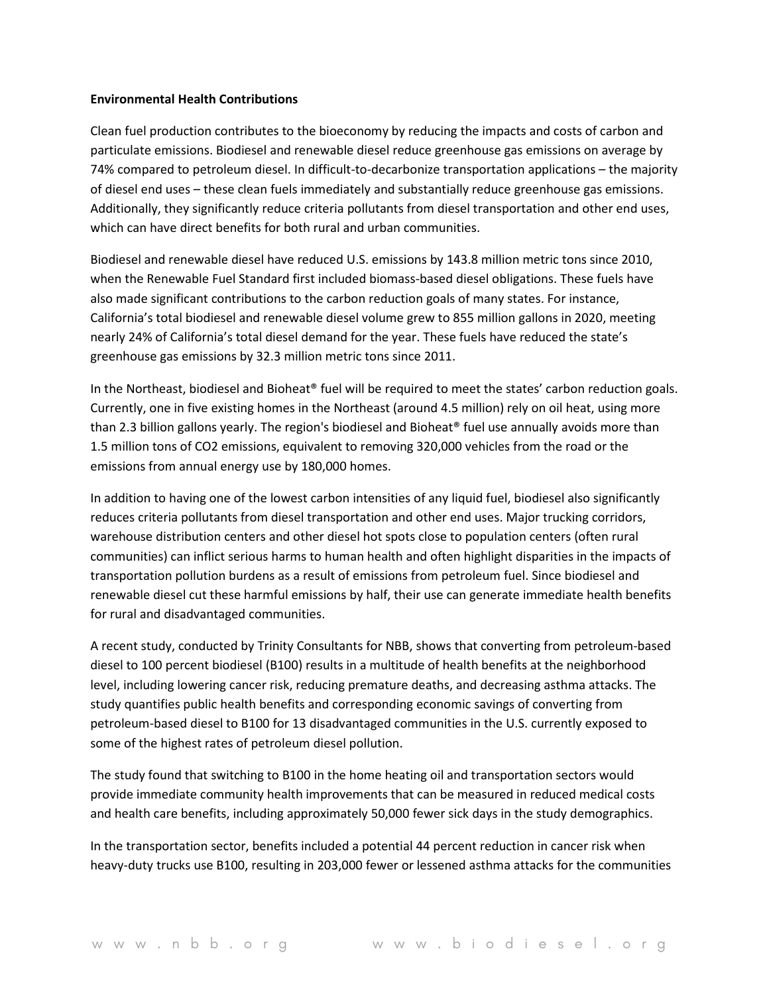### **Environmental Health Contributions**

Clean fuel production contributes to the bioeconomy by reducing the impacts and costs of carbon and particulate emissions. Biodiesel and renewable diesel reduce greenhouse gas emissions on average by 74% compared to petroleum diesel. In difficult-to-decarbonize transportation applications – the majority of diesel end uses – these clean fuels immediately and substantially reduce greenhouse gas emissions. Additionally, they significantly reduce criteria pollutants from diesel transportation and other end uses, which can have direct benefits for both rural and urban communities.

Biodiesel and renewable diesel have reduced U.S. emissions by 143.8 million metric tons since 2010, when the Renewable Fuel Standard first included biomass-based diesel obligations. These fuels have also made significant contributions to the carbon reduction goals of many states. For instance, California's total biodiesel and renewable diesel volume grew to 855 million gallons in 2020, meeting nearly 24% of California's total diesel demand for the year. These fuels have reduced the state's greenhouse gas emissions by 32.3 million metric tons since 2011.

In the Northeast, biodiesel and Bioheat<sup>®</sup> fuel will be required to meet the states' carbon reduction goals. Currently, one in five existing homes in the Northeast (around 4.5 million) rely on oil heat, using more than 2.3 billion gallons yearly. The region's biodiesel and Bioheat® fuel use annually avoids more than 1.5 million tons of CO2 emissions, equivalent to removing 320,000 vehicles from the road or the emissions from annual energy use by 180,000 homes.

In addition to having one of the lowest carbon intensities of any liquid fuel, biodiesel also significantly reduces criteria pollutants from diesel transportation and other end uses. Major trucking corridors, warehouse distribution centers and other diesel hot spots close to population centers (often rural communities) can inflict serious harms to human health and often highlight disparities in the impacts of transportation pollution burdens as a result of emissions from petroleum fuel. Since biodiesel and renewable diesel cut these harmful emissions by half, their use can generate immediate health benefits for rural and disadvantaged communities.

A recent study, conducted by Trinity Consultants for NBB, shows that converting from petroleum-based diesel to 100 percent biodiesel (B100) results in a multitude of health benefits at the neighborhood level, including lowering cancer risk, reducing premature deaths, and decreasing asthma attacks. The study quantifies public health benefits and corresponding economic savings of converting from petroleum-based diesel to B100 for 13 disadvantaged communities in the U.S. currently exposed to some of the highest rates of petroleum diesel pollution.

The study found that switching to B100 in the home heating oil and transportation sectors would provide immediate community health improvements that can be measured in reduced medical costs and health care benefits, including approximately 50,000 fewer sick days in the study demographics.

In the transportation sector, benefits included a potential 44 percent reduction in cancer risk when heavy-duty trucks use B100, resulting in 203,000 fewer or lessened asthma attacks for the communities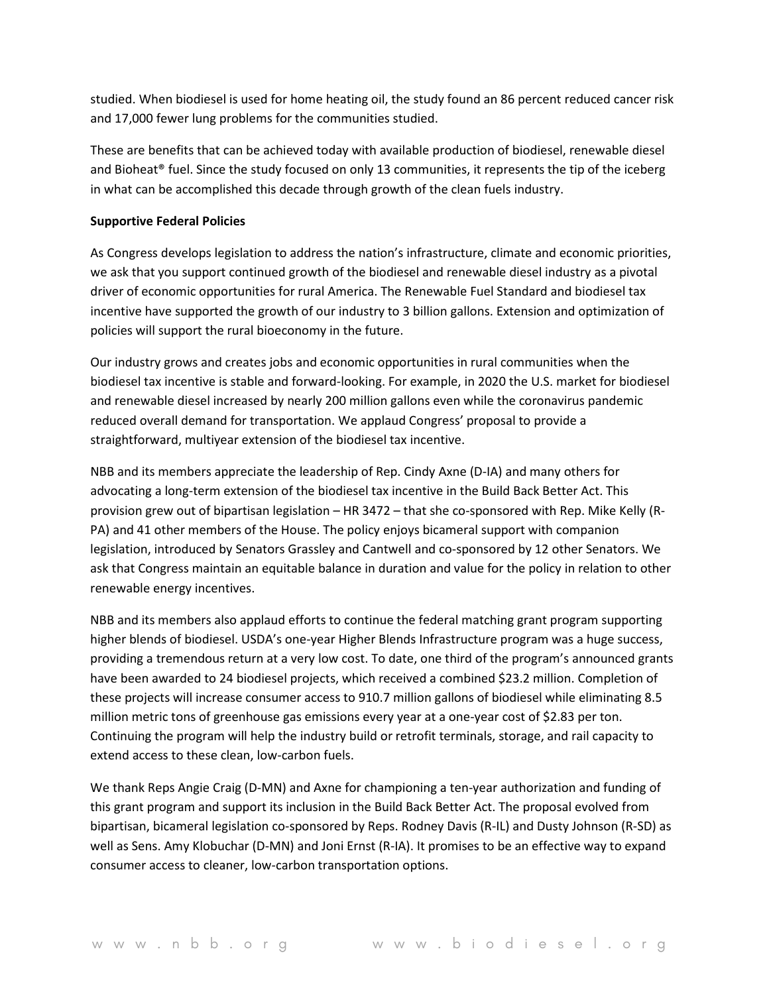studied. When biodiesel is used for home heating oil, the study found an 86 percent reduced cancer risk and 17,000 fewer lung problems for the communities studied.

These are benefits that can be achieved today with available production of biodiesel, renewable diesel and Bioheat® fuel. Since the study focused on only 13 communities, it represents the tip of the iceberg in what can be accomplished this decade through growth of the clean fuels industry.

## **Supportive Federal Policies**

As Congress develops legislation to address the nation's infrastructure, climate and economic priorities, we ask that you support continued growth of the biodiesel and renewable diesel industry as a pivotal driver of economic opportunities for rural America. The Renewable Fuel Standard and biodiesel tax incentive have supported the growth of our industry to 3 billion gallons. Extension and optimization of policies will support the rural bioeconomy in the future.

Our industry grows and creates jobs and economic opportunities in rural communities when the biodiesel tax incentive is stable and forward-looking. For example, in 2020 the U.S. market for biodiesel and renewable diesel increased by nearly 200 million gallons even while the coronavirus pandemic reduced overall demand for transportation. We applaud Congress' proposal to provide a straightforward, multiyear extension of the biodiesel tax incentive.

NBB and its members appreciate the leadership of Rep. Cindy Axne (D-IA) and many others for advocating a long-term extension of the biodiesel tax incentive in the Build Back Better Act. This provision grew out of bipartisan legislation – HR 3472 – that she co-sponsored with Rep. Mike Kelly (R-PA) and 41 other members of the House. The policy enjoys bicameral support with companion legislation, introduced by Senators Grassley and Cantwell and co-sponsored by 12 other Senators. We ask that Congress maintain an equitable balance in duration and value for the policy in relation to other renewable energy incentives.

NBB and its members also applaud efforts to continue the federal matching grant program supporting higher blends of biodiesel. USDA's one-year Higher Blends Infrastructure program was a huge success, providing a tremendous return at a very low cost. To date, one third of the program's announced grants have been awarded to 24 biodiesel projects, which received a combined \$23.2 million. Completion of these projects will increase consumer access to 910.7 million gallons of biodiesel while eliminating 8.5 million metric tons of greenhouse gas emissions every year at a one-year cost of \$2.83 per ton. Continuing the program will help the industry build or retrofit terminals, storage, and rail capacity to extend access to these clean, low-carbon fuels.

We thank Reps Angie Craig (D-MN) and Axne for championing a ten-year authorization and funding of this grant program and support its inclusion in the Build Back Better Act. The proposal evolved from bipartisan, bicameral legislation co-sponsored by Reps. Rodney Davis (R-IL) and Dusty Johnson (R-SD) as well as Sens. Amy Klobuchar (D-MN) and Joni Ernst (R-IA). It promises to be an effective way to expand consumer access to cleaner, low-carbon transportation options.